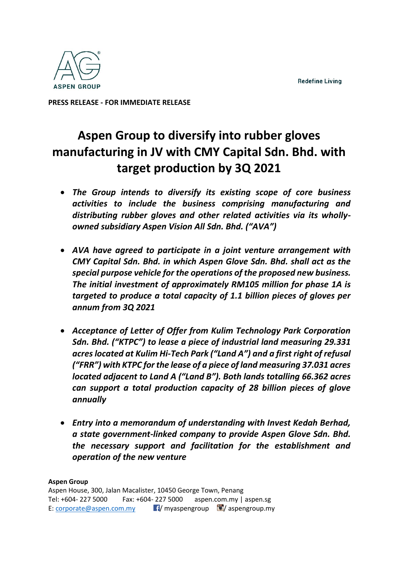**Redefine Living** 



**PRESS RELEASE - FOR IMMEDIATE RELEASE** 

# **Aspen Group to diversify into rubber gloves manufacturing in JV with CMY Capital Sdn. Bhd. with target production by 3Q 2021**

- *The Group intends to diversify its existing scope of core business activities to include the business comprising manufacturing and distributing rubber gloves and other related activities via its whollyowned subsidiary Aspen Vision All Sdn. Bhd. ("AVA")*
- *AVA have agreed to participate in a joint venture arrangement with CMY Capital Sdn. Bhd. in which Aspen Glove Sdn. Bhd. shall act as the special purpose vehicle for the operations of the proposed new business. The initial investment of approximately RM105 million for phase 1A is targeted to produce a total capacity of 1.1 billion pieces of gloves per annum from 3Q 2021*
- *Acceptance of Letter of Offer from Kulim Technology Park Corporation Sdn. Bhd. ("KTPC") to lease a piece of industrial land measuring 29.331 acres located at Kulim Hi-Tech Park ("Land A") and a first right of refusal ("FRR") with KTPC for the lease of a piece of land measuring 37.031 acres located adjacent to Land A ("Land B"). Both lands totalling 66.362 acres can support a total production capacity of 28 billion pieces of glove annually*
- *Entry into a memorandum of understanding with Invest Kedah Berhad, a state government-linked company to provide Aspen Glove Sdn. Bhd. the necessary support and facilitation for the establishment and operation of the new venture*

# **Aspen Group**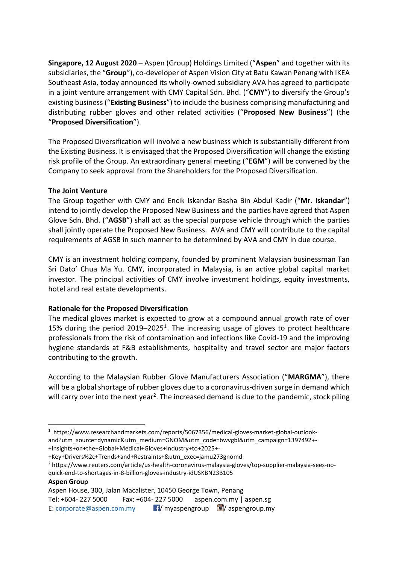**Singapore, 12 August 2020** – Aspen (Group) Holdings Limited ("**Aspen**" and together with its subsidiaries, the "**Group**"), co-developer of Aspen Vision City at Batu Kawan Penang with IKEA Southeast Asia, today announced its wholly-owned subsidiary AVA has agreed to participate in a joint venture arrangement with CMY Capital Sdn. Bhd. ("**CMY**") to diversify the Group's existing business ("**Existing Business**") to include the business comprising manufacturing and distributing rubber gloves and other related activities ("**Proposed New Business**") (the "**Proposed Diversification**").

The Proposed Diversification will involve a new business which is substantially different from the Existing Business. It is envisaged that the Proposed Diversification will change the existing risk profile of the Group. An extraordinary general meeting ("**EGM**") will be convened by the Company to seek approval from the Shareholders for the Proposed Diversification.

# **The Joint Venture**

The Group together with CMY and Encik Iskandar Basha Bin Abdul Kadir ("**Mr. Iskandar**") intend to jointly develop the Proposed New Business and the parties have agreed that Aspen Glove Sdn. Bhd. ("**AGSB**") shall act as the special purpose vehicle through which the parties shall jointly operate the Proposed New Business. AVA and CMY will contribute to the capital requirements of AGSB in such manner to be determined by AVA and CMY in due course.

CMY is an investment holding company, founded by prominent Malaysian businessman Tan Sri Dato' Chua Ma Yu. CMY, incorporated in Malaysia, is an active global capital market investor. The principal activities of CMY involve investment holdings, equity investments, hotel and real estate developments.

# **Rationale for the Proposed Diversification**

The medical gloves market is expected to grow at a compound annual growth rate of over 15% during the period  $2019-2025<sup>1</sup>$ . The increasing usage of gloves to protect healthcare professionals from the risk of contamination and infections like Covid-19 and the improving hygiene standards at F&B establishments, hospitality and travel sector are major factors contributing to the growth.

According to the Malaysian Rubber Glove Manufacturers Association ("**MARGMA**"), there will be a global shortage of rubber gloves due to a coronavirus-driven surge in demand which will carry over into the next year<sup>2</sup>. The increased demand is due to the pandemic, stock piling

+Key+Drivers%2c+Trends+and+Restraints+&utm\_exec=jamu273gnomd

<sup>2</sup> https://www.reuters.com/article/us-health-coronavirus-malaysia-gloves/top-supplier-malaysia-sees-noquick-end-to-shortages-in-8-billion-gloves-industry-idUSKBN23B105

**Aspen Group** 

Tel: +604- 227 5000 Fax: +604- 227 5000 aspen.com.my | aspen.sg E: [corporate@aspen.com.my](mailto:corporate@aspen.com.my)  $\blacksquare$ / myaspengroup  $\blacksquare$ / aspengroup.my

<sup>1</sup> https://www.researchandmarkets.com/reports/5067356/medical-gloves-market-global-outlookand?utm\_source=dynamic&utm\_medium=GNOM&utm\_code=bwvgbl&utm\_campaign=1397492+-+Insights+on+the+Global+Medical+Gloves+Industry+to+2025+-

Aspen House, 300, Jalan Macalister, 10450 George Town, Penang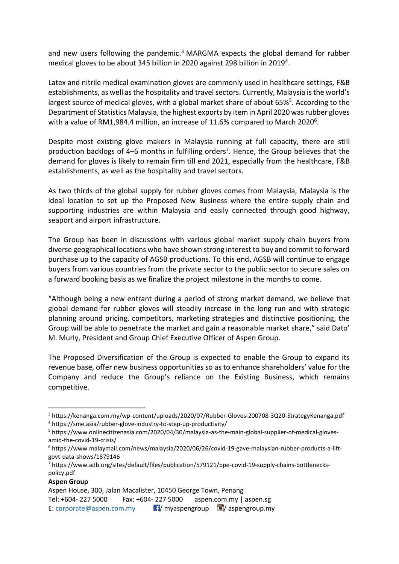and new users following the pandemic.<sup>3</sup> MARGMA expects the global demand for rubber medical gloves to be about 345 billion in 2020 against 298 billion in 2019<sup>4</sup>.

Latex and nitrile medical examination gloves are commonly used in healthcare settings, F&B establishments, as well as the hospitality and travel sectors. Currently, Malaysia is the world's largest source of medical gloves, with a global market share of about 65%<sup>5</sup>. According to the Department of Statistics Malaysia, the highest exports by item in April 2020 was rubber gloves with a value of RM1,984.4 million, an increase of 11.6% compared to March 2020<sup>6</sup>.

Despite most existing glove makers in Malaysia running at full capacity, there are still production backlogs of 4-6 months in fulfilling orders<sup>7</sup>. Hence, the Group believes that the demand for gloves is likely to remain firm till end 2021, especially from the healthcare, F&B establishments, as well as the hospitality and travel sectors.

As two thirds of the global supply for rubber gloves comes from Malaysia, Malaysia is the ideal location to set up the Proposed New Business where the entire supply chain and supporting industries are within Malaysia and easily connected through good highway, seaport and airport infrastructure.

The Group has been in discussions with various global market supply chain buyers from diverse geographical locations who have shown strong interest to buy and commit to forward purchase up to the capacity of AGSB productions. To this end, AGSB will continue to engage buyers from various countries from the private sector to the public sector to secure sales on a forward booking basis as we finalize the project milestone in the months to come.

"Although being a new entrant during a period of strong market demand, we believe that global demand for rubber gloves will steadily increase in the long run and with strategic planning around pricing, competitors, marketing strategies and distinctive positioning, the Group will be able to penetrate the market and gain a reasonable market share," said Dato' M. Murly, President and Group Chief Executive Officer of Aspen Group.

The Proposed Diversification of the Group is expected to enable the Group to expand its revenue base, offer new business opportunities so as to enhance shareholders' value for the Company and reduce the Group's reliance on the Existing Business, which remains competitive.

<sup>7</sup> https://www.adb.org/sites/default/files/publication/579121/ppe-covid-19-supply-chains-bottleneckspolicy.pdf

| Aspen Group                                                   |  |                                                        |
|---------------------------------------------------------------|--|--------------------------------------------------------|
| Aspen House, 300, Jalan Macalister, 10450 George Town, Penang |  |                                                        |
| Tel: +604- 227 5000                                           |  | Fax: $+604 - 2275000$ aspen.com.my   aspen.sg          |
| E: corporate@aspen.com.my                                     |  | $\mathbf{F}/$ myaspengroup $\mathbf{F}/$ aspengroup.my |

<sup>3</sup> https://kenanga.com.my/wp-content/uploads/2020/07/Rubber-Gloves-200708-3Q20-StrategyKenanga.pdf <sup>4</sup> https://sme.asia/rubber-glove-industry-to-step-up-productivity/

<sup>5</sup> https://www.onlinecitizenasia.com/2020/04/30/malaysia-as-the-main-global-supplier-of-medical-glovesamid-the-covid-19-crisis/

<sup>6</sup> https://www.malaymail.com/news/malaysia/2020/06/26/covid-19-gave-malaysian-rubber-products-a-liftgovt-data-shows/1879146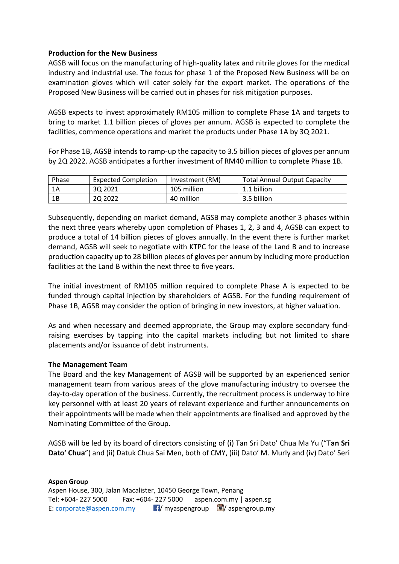## **Production for the New Business**

AGSB will focus on the manufacturing of high-quality latex and nitrile gloves for the medical industry and industrial use. The focus for phase 1 of the Proposed New Business will be on examination gloves which will cater solely for the export market. The operations of the Proposed New Business will be carried out in phases for risk mitigation purposes.

AGSB expects to invest approximately RM105 million to complete Phase 1A and targets to bring to market 1.1 billion pieces of gloves per annum. AGSB is expected to complete the facilities, commence operations and market the products under Phase 1A by 3Q 2021.

For Phase 1B, AGSB intends to ramp-up the capacity to 3.5 billion pieces of gloves per annum by 2Q 2022. AGSB anticipates a further investment of RM40 million to complete Phase 1B.

| Phase | Expected Completion | Investment (RM) | <b>Total Annual Output Capacity</b> |
|-------|---------------------|-----------------|-------------------------------------|
| 1Α    | 30 20 21            | 105 million     | 1.1 billion                         |
| 1B    | 20 20 22            | 40 million      | 3.5 billion                         |

Subsequently, depending on market demand, AGSB may complete another 3 phases within the next three years whereby upon completion of Phases 1, 2, 3 and 4, AGSB can expect to produce a total of 14 billion pieces of gloves annually. In the event there is further market demand, AGSB will seek to negotiate with KTPC for the lease of the Land B and to increase production capacity up to 28 billion pieces of gloves per annum by including more production facilities at the Land B within the next three to five years.

The initial investment of RM105 million required to complete Phase A is expected to be funded through capital injection by shareholders of AGSB. For the funding requirement of Phase 1B, AGSB may consider the option of bringing in new investors, at higher valuation.

As and when necessary and deemed appropriate, the Group may explore secondary fundraising exercises by tapping into the capital markets including but not limited to share placements and/or issuance of debt instruments.

## **The Management Team**

The Board and the key Management of AGSB will be supported by an experienced senior management team from various areas of the glove manufacturing industry to oversee the day-to-day operation of the business. Currently, the recruitment process is underway to hire key personnel with at least 20 years of relevant experience and further announcements on their appointments will be made when their appointments are finalised and approved by the Nominating Committee of the Group.

AGSB will be led by its board of directors consisting of (i) Tan Sri Dato' Chua Ma Yu ("T**an Sri Dato' Chua**") and (ii) Datuk Chua Sai Men, both of CMY, (iii) Dato' M. Murly and (iv) Dato' Seri

#### **Aspen Group**  Aspen House, 300, Jalan Macalister, 10450 George Town, Penang Tel: +604- 227 5000 Fax: +604- 227 5000 aspen.com.my | aspen.sg E: [corporate@aspen.com.my](mailto:corporate@aspen.com.my)  $\blacksquare$ / myaspengroup  $\blacksquare$ / aspengroup.my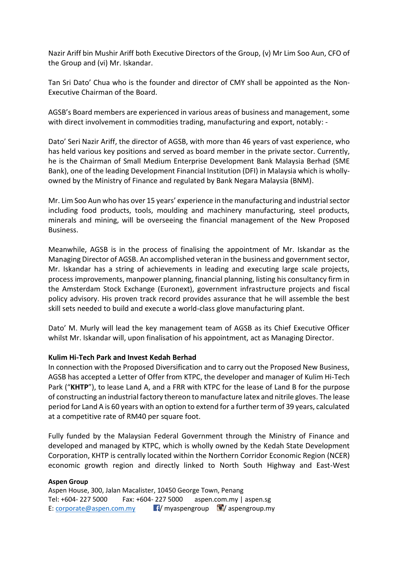Nazir Ariff bin Mushir Ariff both Executive Directors of the Group, (v) Mr Lim Soo Aun, CFO of the Group and (vi) Mr. Iskandar.

Tan Sri Dato' Chua who is the founder and director of CMY shall be appointed as the Non-Executive Chairman of the Board.

AGSB's Board members are experienced in various areas of business and management, some with direct involvement in commodities trading, manufacturing and export, notably: -

Dato' Seri Nazir Ariff, the director of AGSB, with more than 46 years of vast experience, who has held various key positions and served as board member in the private sector. Currently, he is the Chairman of Small Medium Enterprise Development Bank Malaysia Berhad (SME Bank), one of the leading Development Financial Institution (DFI) in Malaysia which is whollyowned by the Ministry of Finance and regulated by Bank Negara Malaysia (BNM).

Mr. Lim Soo Aun who has over 15 years' experience in the manufacturing and industrial sector including food products, tools, moulding and machinery manufacturing, steel products, minerals and mining, will be overseeing the financial management of the New Proposed Business.

Meanwhile, AGSB is in the process of finalising the appointment of Mr. Iskandar as the Managing Director of AGSB. An accomplished veteran in the business and government sector, Mr. Iskandar has a string of achievements in leading and executing large scale projects, process improvements, manpower planning, financial planning, listing his consultancy firm in the Amsterdam Stock Exchange (Euronext), government infrastructure projects and fiscal policy advisory. His proven track record provides assurance that he will assemble the best skill sets needed to build and execute a world-class glove manufacturing plant.

Dato' M. Murly will lead the key management team of AGSB as its Chief Executive Officer whilst Mr. Iskandar will, upon finalisation of his appointment, act as Managing Director.

# **Kulim Hi-Tech Park and Invest Kedah Berhad**

In connection with the Proposed Diversification and to carry out the Proposed New Business, AGSB has accepted a Letter of Offer from KTPC, the developer and manager of Kulim Hi-Tech Park ("**KHTP**"), to lease Land A, and a FRR with KTPC for the lease of Land B for the purpose of constructing an industrial factory thereon to manufacture latex and nitrile gloves. The lease period for Land A is 60 years with an option to extend for a further term of 39 years, calculated at a competitive rate of RM40 per square foot.

Fully funded by the Malaysian Federal Government through the Ministry of Finance and developed and managed by KTPC, which is wholly owned by the Kedah State Development Corporation, KHTP is centrally located within the Northern Corridor Economic Region (NCER) economic growth region and directly linked to North South Highway and East-West

## **Aspen Group**

Aspen House, 300, Jalan Macalister, 10450 George Town, Penang Tel: +604- 227 5000 Fax: +604- 227 5000 aspen.com.my | aspen.sg E: [corporate@aspen.com.my](mailto:corporate@aspen.com.my)  $\blacksquare$  / myaspengroup  $\blacksquare$  / aspengroup.my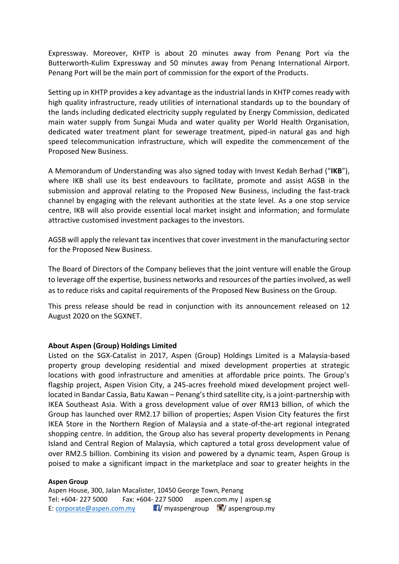Expressway. Moreover, KHTP is about 20 minutes away from Penang Port via the Butterworth-Kulim Expressway and 50 minutes away from Penang International Airport. Penang Port will be the main port of commission for the export of the Products.

Setting up in KHTP provides a key advantage as the industrial lands in KHTP comes ready with high quality infrastructure, ready utilities of international standards up to the boundary of the lands including dedicated electricity supply regulated by Energy Commission, dedicated main water supply from Sungai Muda and water quality per World Health Organisation, dedicated water treatment plant for sewerage treatment, piped-in natural gas and high speed telecommunication infrastructure, which will expedite the commencement of the Proposed New Business.

A Memorandum of Understanding was also signed today with Invest Kedah Berhad ("**IKB**"), where IKB shall use its best endeavours to facilitate, promote and assist AGSB in the submission and approval relating to the Proposed New Business, including the fast-track channel by engaging with the relevant authorities at the state level. As a one stop service centre, IKB will also provide essential local market insight and information; and formulate attractive customised investment packages to the investors.

AGSB will apply the relevant tax incentives that cover investment in the manufacturing sector for the Proposed New Business.

The Board of Directors of the Company believes that the joint venture will enable the Group to leverage off the expertise, business networks and resources of the parties involved, as well as to reduce risks and capital requirements of the Proposed New Business on the Group.

This press release should be read in conjunction with its announcement released on 12 August 2020 on the SGXNET.

## **About Aspen (Group) Holdings Limited**

Listed on the SGX-Catalist in 2017, Aspen (Group) Holdings Limited is a Malaysia-based property group developing residential and mixed development properties at strategic locations with good infrastructure and amenities at affordable price points. The Group's flagship project, Aspen Vision City, a 245-acres freehold mixed development project welllocated in Bandar Cassia, Batu Kawan – Penang's third satellite city, is a joint-partnership with IKEA Southeast Asia. With a gross development value of over RM13 billion, of which the Group has launched over RM2.17 billion of properties; Aspen Vision City features the first IKEA Store in the Northern Region of Malaysia and a state-of-the-art regional integrated shopping centre. In addition, the Group also has several property developments in Penang Island and Central Region of Malaysia, which captured a total gross development value of over RM2.5 billion. Combining its vision and powered by a dynamic team, Aspen Group is poised to make a significant impact in the marketplace and soar to greater heights in the

#### **Aspen Group**

Aspen House, 300, Jalan Macalister, 10450 George Town, Penang Tel: +604- 227 5000 Fax: +604- 227 5000 aspen.com.my | aspen.sg E: [corporate@aspen.com.my](mailto:corporate@aspen.com.my)  $\blacksquare$ / myaspengroup  $\blacksquare$ / aspengroup.my